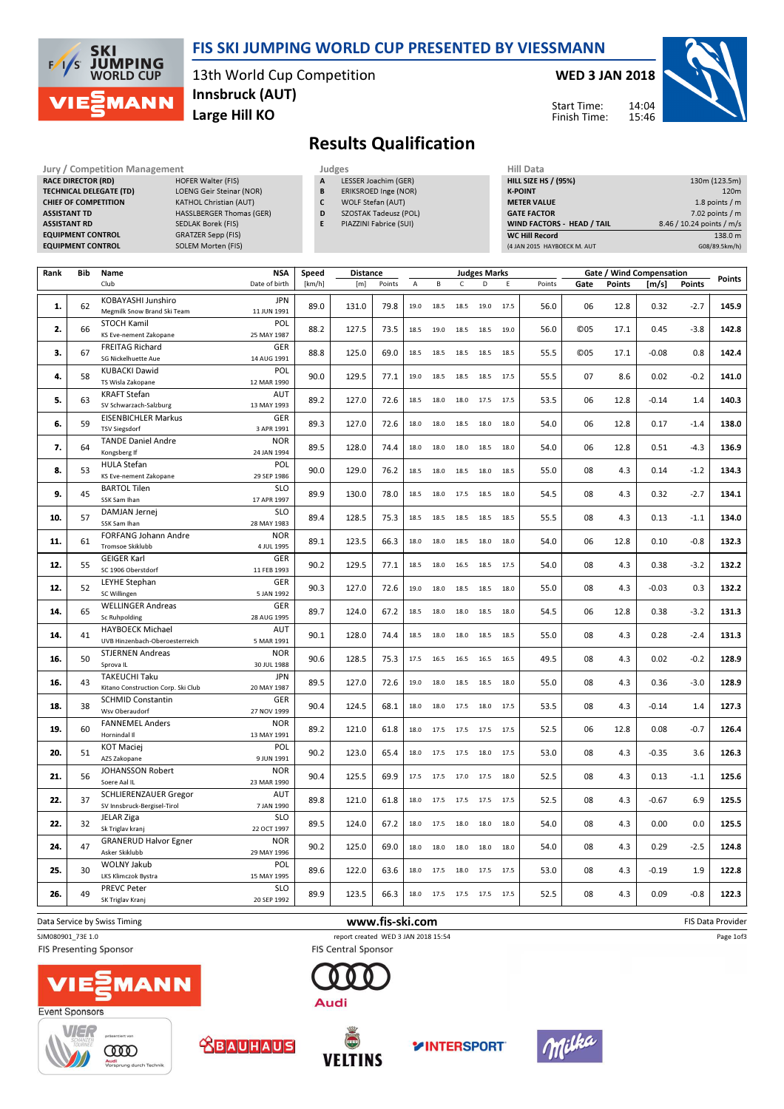

### FIS SKI JUMPING WORLD CUP PRESENTED BY VIESSMANN

13th World Cup Competition Large Hill KO Innsbruck (AUT)

#### WED 3 JAN 2018

Start Time: Finish Time:



Results Qualification

RACE DIRECTOR (RD) ASSISTANT RD SEDLAK Borek (FIS) **EQUIPMENT CONTROL** 

Jury / Competition Management Judges<br>
RACE DIRECTOR (RD) HOFER Walter (FIS) A LE TECHNICAL DELEGATE (TD) LOENG Geir Steinar (NOR) CHIEF OF COMPETITION KATHOL Christian (AUT) ASSISTANT TD **HASSLBERGER Thomas (GER)** EQUIPMENT CONTROL GRATZER Sepp (FIS)<br>
EQUIPMENT CONTROL SOLEM Morten (FIS)

- **LESSER Joachim (GER)**
- B ERIKSROED Inge (NOR)
- C WOLF Stefan (AUT)
- D SZOSTAK Tadeusz (POL)
- E PIAZZINI Fabrice (SUI)

| Hill Data                         |                           |
|-----------------------------------|---------------------------|
| <b>HILL SIZE HS / (95%)</b>       | 130m (123.5m)             |
| <b>K-POINT</b>                    | 120 <sub>m</sub>          |
| <b>METER VALUE</b>                | 1.8 points $/m$           |
| <b>GATE FACTOR</b>                | $7.02$ points / m         |
| <b>WIND FACTORS - HEAD / TAIL</b> | 8.46 / 10.24 points / m/s |
| <b>WC Hill Record</b>             | 138.0 m                   |
| (4 JAN 2015 HAYBOECK M. AUT       | G08/89.5km/h)             |

| Rank | Bib | Name                                         | <b>NSA</b>                | Speed  | <b>Distance</b> |                 | <b>Judges Marks</b> |      |                |      | Gate / Wind Compensation |        |            |               | Points  |               |                   |
|------|-----|----------------------------------------------|---------------------------|--------|-----------------|-----------------|---------------------|------|----------------|------|--------------------------|--------|------------|---------------|---------|---------------|-------------------|
|      |     | Club                                         | Date of birth             | [km/h] | [m]             | Points          | А                   | B    | $\mathsf{C}$   | D    | Ε                        | Points | Gate       | <b>Points</b> | [m/s]   | <b>Points</b> |                   |
| 1.   | 62  | KOBAYASHI Junshiro                           | <b>JPN</b>                | 89.0   | 131.0           | 79.8            | 19.0                | 18.5 | 18.5           | 19.0 | 17.5                     | 56.0   | 06         | 12.8          | 0.32    | $-2.7$        | 145.9             |
|      |     | Megmilk Snow Brand Ski Team                  | 11 JUN 1991               |        |                 |                 |                     |      |                |      |                          |        |            |               |         |               |                   |
| 2.   | 66  | <b>STOCH Kamil</b><br>KS Eve-nement Zakopane | POL<br>25 MAY 1987        | 88.2   | 127.5           | 73.5            | 18.5                | 19.0 | 18.5           | 18.5 | 19.0                     | 56.0   | <b>©05</b> | 17.1          | 0.45    | $-3.8$        | 142.8             |
|      |     | <b>FREITAG Richard</b>                       | GER                       |        |                 |                 |                     |      |                |      |                          |        |            |               |         |               |                   |
| 3.   | 67  | SG Nickelhuette Aue                          | 14 AUG 1991               | 88.8   | 125.0           | 69.0            | 18.5                | 18.5 | 18.5           | 18.5 | 18.5                     | 55.5   | <b>©05</b> | 17.1          | $-0.08$ | 0.8           | 142.4             |
|      |     | <b>KUBACKI Dawid</b>                         | POL                       |        |                 |                 |                     |      |                |      |                          |        |            |               |         |               |                   |
| 4.   | 58  | TS Wisla Zakopane                            | 12 MAR 1990               | 90.0   | 129.5           | 77.1            | 19.0                | 18.5 | 18.5           | 18.5 | 17.5                     | 55.5   | 07         | 8.6           | 0.02    | $-0.2$        | 141.0             |
| 5.   |     | <b>KRAFT Stefan</b>                          | AUT                       | 89.2   | 127.0           | 72.6            | 18.5                | 18.0 | 18.0           | 17.5 | 17.5                     |        | 06         | 12.8          |         | 1.4           | 140.3             |
|      | 63  | SV Schwarzach-Salzburg                       | 13 MAY 1993               |        |                 |                 |                     |      |                |      |                          | 53.5   |            |               | $-0.14$ |               |                   |
| 6.   | 59  | <b>EISENBICHLER Markus</b>                   | GER                       | 89.3   | 127.0           | 72.6            | 18.0                | 18.0 | 18.5           | 18.0 | 18.0                     | 54.0   | 06         | 12.8          | 0.17    | $-1.4$        | 138.0             |
|      |     | <b>TSV Siegsdorf</b>                         | 3 APR 1991                |        |                 |                 |                     |      |                |      |                          |        |            |               |         |               |                   |
| 7.   | 64  | <b>TANDE Daniel Andre</b>                    | <b>NOR</b>                | 89.5   | 128.0           | 74.4            | 18.0                | 18.0 | 18.0           | 18.5 | 18.0                     | 54.0   | 06         | 12.8          | 0.51    | $-4.3$        | 136.9             |
|      |     | Kongsberg If<br><b>HULA Stefan</b>           | 24 JAN 1994<br>POL        |        |                 |                 |                     |      |                |      |                          |        |            |               |         |               |                   |
| 8.   | 53  | KS Eve-nement Zakopane                       | 29 SEP 1986               | 90.0   | 129.0           | 76.2            | 18.5                | 18.0 | 18.5           | 18.0 | 18.5                     | 55.0   | 08         | 4.3           | 0.14    | $-1.2$        | 134.3             |
|      |     | <b>BARTOL Tilen</b>                          | <b>SLO</b>                |        |                 |                 |                     |      |                |      |                          |        |            |               |         |               |                   |
| 9.   | 45  | SSK Sam Ihan                                 | 17 APR 1997               | 89.9   | 130.0           | 78.0            | 18.5                | 18.0 | 17.5           | 18.5 | 18.0                     | 54.5   | 08         | 4.3           | 0.32    | $-2.7$        | 134.1             |
|      |     | DAMJAN Jernej                                | <b>SLO</b>                |        |                 |                 |                     |      |                |      |                          |        |            |               |         |               |                   |
| 10.  | 57  | SSK Sam Ihan                                 | 28 MAY 1983               | 89.4   | 128.5           | 75.3            | 18.5                | 18.5 | 18.5           | 18.5 | 18.5                     | 55.5   | 08         | 4.3           | 0.13    | $-1.1$        | 134.0             |
| 11.  | 61  | FORFANG Johann Andre                         | <b>NOR</b>                | 89.1   | 123.5           | 66.3            | 18.0                | 18.0 | 18.5           | 18.0 | 18.0                     | 54.0   | 06         | 12.8          | 0.10    | $-0.8$        | 132.3             |
|      |     | Tromsoe Skiklubb                             | 4 JUL 1995                |        |                 |                 |                     |      |                |      |                          |        |            |               |         |               |                   |
| 12.  | 55  | <b>GEIGER Karl</b>                           | GER                       | 90.2   | 129.5           | 77.1            | 18.5                | 18.0 | 16.5           | 18.5 | 17.5                     | 54.0   | 08         | 4.3           | 0.38    | $-3.2$        | 132.2             |
|      |     | SC 1906 Oberstdorf                           | 11 FEB 1993               |        |                 |                 |                     |      |                |      |                          |        |            |               |         |               |                   |
| 12.  | 52  | <b>LEYHE Stephan</b><br>SC Willingen         | GER<br>5 JAN 1992         | 90.3   | 127.0           | 72.6            | 19.0                | 18.0 | 18.5           | 18.5 | 18.0                     | 55.0   | 08         | 4.3           | $-0.03$ | 0.3           | 132.2             |
|      |     | <b>WELLINGER Andreas</b>                     | GER                       |        |                 |                 |                     |      |                |      |                          |        |            |               |         |               |                   |
| 14.  | 65  | <b>Sc Ruhpolding</b>                         | 28 AUG 1995               | 89.7   | 124.0           | 67.2            | 18.5                | 18.0 | 18.0           | 18.5 | 18.0                     | 54.5   | 06         | 12.8          | 0.38    | $-3.2$        | 131.3             |
|      |     | <b>HAYBOECK Michael</b>                      | AUT                       |        |                 |                 |                     |      |                |      |                          |        |            |               |         |               |                   |
| 14.  | 41  | UVB Hinzenbach-Oberoesterreich               | 5 MAR 1991                | 90.1   | 128.0           | 74.4            | 18.5                | 18.0 | 18.0           | 18.5 | 18.5                     | 55.0   | 08         | 4.3           | 0.28    | $-2.4$        | 131.3             |
| 16.  | 50  | <b>STJERNEN Andreas</b>                      | <b>NOR</b>                |        | 90.6<br>128.5   | 75.3            | 17.5                | 16.5 | 16.5           | 16.5 | 16.5                     | 49.5   | 08         | 4.3           | 0.02    | $-0.2$        | 128.9             |
|      |     | Sprova IL                                    | 30 JUL 1988               |        |                 |                 |                     |      |                |      |                          |        |            |               |         |               |                   |
| 16.  | 43  | <b>TAKEUCHI Taku</b>                         | <b>JPN</b>                | 89.5   | 127.0           | 72.6            | 19.0                | 18.0 | 18.5           | 18.5 | 18.0                     | 55.0   | 08         | 4.3           | 0.36    | $-3.0$        | 128.9             |
|      |     | Kitano Construction Corp. Ski Club           | 20 MAY 1987               |        |                 |                 |                     |      |                |      |                          |        |            |               |         |               |                   |
| 18.  | 38  | <b>SCHMID Constantin</b><br>Wsv Oberaudorf   | GER<br>27 NOV 1999        | 90.4   | 124.5           | 68.1            | 18.0                | 18.0 | 17.5           | 18.0 | 17.5                     | 53.5   | 08         | 4.3           | $-0.14$ | 1.4           | 127.3             |
|      |     | <b>FANNEMEL Anders</b>                       | <b>NOR</b>                |        |                 |                 |                     |      |                |      |                          |        |            |               |         |               |                   |
| 19.  | 60  | Hornindal II                                 | 13 MAY 1991               | 89.2   | 121.0           | 61.8            | 18.0                | 17.5 | 17.5           | 17.5 | 17.5                     | 52.5   | 06         | 12.8          | 0.08    | $-0.7$        | 126.4             |
|      |     | <b>KOT Maciej</b>                            | POL                       |        |                 |                 |                     |      |                |      |                          |        |            |               |         |               |                   |
| 20.  | 51  | AZS Zakopane                                 | 9 JUN 1991                | 90.2   | 123.0           | 65.4            | 18.0                | 17.5 | 17.5           | 18.0 | 17.5                     | 53.0   | 08         | 4.3           | $-0.35$ | 3.6           | 126.3             |
| 21.  | 56  | JOHANSSON Robert                             | <b>NOR</b>                | 90.4   | 125.5           | 69.9            | 17.5                |      | 17.5 17.0 17.5 |      | 18.0                     | 52.5   | 08         | 4.3           | 0.13    | $-1.1$        | 125.6             |
|      |     | Soere Aal IL                                 | 23 MAR 1990               |        |                 |                 |                     |      |                |      |                          |        |            |               |         |               |                   |
| 22.  | 37  | <b>SCHLIERENZAUER Gregor</b>                 | AUT                       | 89.8   | 121.0           | 61.8            | 18.0                | 17.5 | 17.5           | 17.5 | 17.5                     | 52.5   | 08         | 4.3           | $-0.67$ | 6.9           | 125.5             |
|      |     | SV Innsbruck-Bergisel-Tirol                  | 7 JAN 1990                |        |                 |                 |                     |      |                |      |                          |        |            |               |         |               |                   |
| 22.  | 32  | <b>JELAR Ziga</b><br>Sk Triglav kranj        | <b>SLO</b><br>22 OCT 1997 | 89.5   | 124.0           | 67.2            | 18.0                | 17.5 | 18.0           | 18.0 | 18.0                     | 54.0   | 08         | 4.3           | 0.00    | 0.0           | 125.5             |
|      |     | <b>GRANERUD Halvor Egner</b>                 | <b>NOR</b>                |        |                 |                 |                     |      |                |      |                          |        |            |               |         |               |                   |
| 24.  | 47  | Asker Skiklubb                               | 29 MAY 1996               | 90.2   | 125.0           | 69.0            | 18.0                | 18.0 | 18.0           | 18.0 | 18.0                     | 54.0   | 08         | 4.3           | 0.29    | $-2.5$        | 124.8             |
|      |     | <b>WOLNY Jakub</b>                           | POL                       |        |                 |                 |                     |      |                |      |                          |        |            |               |         |               |                   |
| 25.  | 30  | LKS Klimczok Bystra                          | 15 MAY 1995               | 89.6   | 122.0           | 63.6            | 18.0                | 17.5 | 18.0           | 17.5 | 17.5                     | 53.0   | 08         | 4.3           | $-0.19$ | 1.9           | 122.8             |
| 26.  | 49  | <b>PREVC Peter</b>                           | <b>SLO</b>                | 89.9   | 123.5           | 66.3            | 18.0                | 17.5 | 17.5           | 17.5 | 17.5                     | 52.5   | 08         | 4.3           | 0.09    | $-0.8$        | 122.3             |
|      |     | SK Triglav Kranj                             | 20 SEP 1992               |        |                 |                 |                     |      |                |      |                          |        |            |               |         |               |                   |
|      |     |                                              |                           |        |                 |                 |                     |      |                |      |                          |        |            |               |         |               |                   |
|      |     | Data Service by Swiss Timing                 |                           |        |                 | www.fis-ski.com |                     |      |                |      |                          |        |            |               |         |               | FIS Data Provider |

SJM080901\_73E 1.0 report created WED 3 JAN 2018 15:54

**FIS Presenting Sponsor** 







**FIS Central Sponsor** 









Page 1of3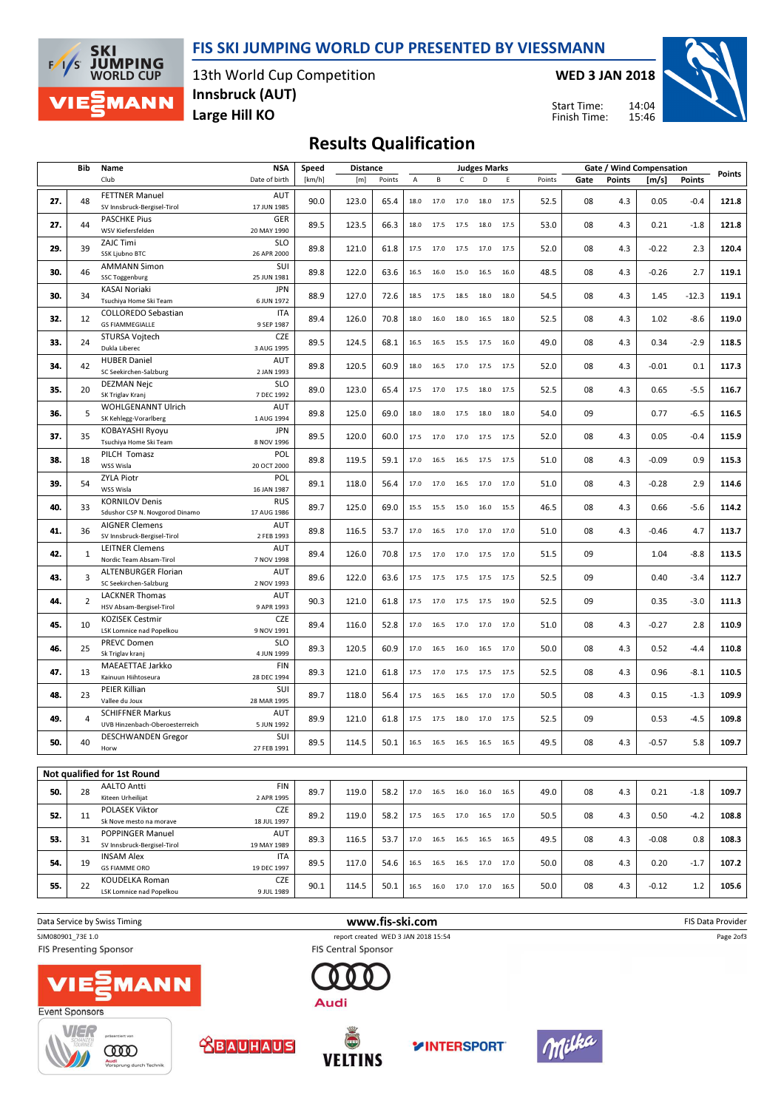FIS SKI JUMPING WORLD CUP PRESENTED BY VIESSMANN



13th World Cup Competition Large Hill KO Innsbruck (AUT)

WED 3 JAN 2018

14:04 15:46 Start Time: Finish Time:



# Results Qualification

|     | Bib            | Name                                                      | <b>NSA</b><br><b>Distance</b><br><b>Judges Marks</b><br>Speed |        |       |        |      |                                                        | Gate / Wind Compensation |                |           |        |      |               |         |         |        |
|-----|----------------|-----------------------------------------------------------|---------------------------------------------------------------|--------|-------|--------|------|--------------------------------------------------------|--------------------------|----------------|-----------|--------|------|---------------|---------|---------|--------|
|     |                | Club                                                      | Date of birth                                                 | [km/h] | [m]   | Points | А    | В                                                      | C                        | D              | Ε         | Points | Gate | <b>Points</b> | [m/s]   | Points  | Points |
| 27. | 48             | <b>FETTNER Manuel</b><br>SV Innsbruck-Bergisel-Tirol      | <b>AUT</b><br>17 JUN 1985                                     | 90.0   | 123.0 | 65.4   | 18.0 | 17.0                                                   | 17.0                     | 18.0           | 17.5      | 52.5   | 08   | 4.3           | 0.05    | $-0.4$  | 121.8  |
| 27. | 44             | <b>PASCHKE Pius</b><br>WSV Kiefersfelden                  | <b>GER</b><br>20 MAY 1990                                     | 89.5   | 123.5 | 66.3   | 18.0 | 17.5                                                   | 17.5                     | 18.0           | 17.5      | 53.0   | 08   | 4.3           | 0.21    | $-1.8$  | 121.8  |
| 29. | 39             | <b>ZAJC Timi</b><br>SSK Ljubno BTC                        | <b>SLO</b><br>26 APR 2000                                     | 89.8   | 121.0 | 61.8   | 17.5 | 17.0                                                   | 17.5                     | 17.0           | 17.5      | 52.0   | 08   | 4.3           | $-0.22$ | 2.3     | 120.4  |
| 30. | 46             | <b>AMMANN Simon</b><br><b>SSC Toggenburg</b>              | SUI<br>25 JUN 1981                                            | 89.8   | 122.0 | 63.6   | 16.5 | 16.0                                                   | 15.0                     | 16.5           | 16.0      | 48.5   | 08   | 4.3           | $-0.26$ | 2.7     | 119.1  |
| 30. | 34             | KASAI Noriaki<br>Tsuchiya Home Ski Team                   | <b>JPN</b><br>6 JUN 1972                                      | 88.9   | 127.0 | 72.6   | 18.5 | 17.5                                                   | 18.5                     | 18.0           | 18.0      | 54.5   | 08   | 4.3           | 1.45    | $-12.3$ | 119.1  |
| 32. | 12             | <b>COLLOREDO Sebastian</b><br><b>GS FIAMMEGIALLE</b>      | <b>ITA</b><br>9 SEP 1987                                      | 89.4   | 126.0 | 70.8   | 18.0 | 16.0                                                   | 18.0                     | 16.5           | 18.0      | 52.5   | 08   | 4.3           | 1.02    | $-8.6$  | 119.0  |
| 33. | 24             | STURSA Vojtech<br>Dukla Liberec                           | <b>CZE</b><br>3 AUG 1995                                      | 89.5   | 124.5 | 68.1   | 16.5 | 16.5                                                   | 15.5                     | 17.5           | 16.0      | 49.0   | 08   | 4.3           | 0.34    | $-2.9$  | 118.5  |
| 34. | 42             | <b>HUBER Daniel</b><br>SC Seekirchen-Salzburg             | AUT<br>2 JAN 1993                                             | 89.8   | 120.5 | 60.9   | 18.0 | 16.5                                                   | 17.0                     | 17.5           | 17.5      | 52.0   | 08   | 4.3           | $-0.01$ | 0.1     | 117.3  |
| 35. | 20             | <b>DEZMAN Nejc</b><br>SK Triglav Kranj                    | <b>SLO</b><br>7 DEC 1992                                      | 89.0   | 123.0 | 65.4   | 17.5 | 17.0                                                   | 17.5                     | 18.0           | 17.5      | 52.5   | 08   | 4.3           | 0.65    | $-5.5$  | 116.7  |
| 36. | 5              | WOHLGENANNT Ulrich<br>SK Kehlegg-Vorarlberg               | AUT<br>1 AUG 1994                                             | 89.8   | 125.0 | 69.0   | 18.0 | 18.0                                                   | 17.5                     | 18.0           | 18.0      | 54.0   | 09   |               | 0.77    | $-6.5$  | 116.5  |
| 37. | 35             | KOBAYASHI Ryoyu<br>Tsuchiya Home Ski Team                 | <b>JPN</b><br>8 NOV 1996                                      | 89.5   | 120.0 | 60.0   | 17.5 | 17.0                                                   | 17.0                     | 17.5           | 17.5      | 52.0   | 08   | 4.3           | 0.05    | $-0.4$  | 115.9  |
| 38. | 18             | PILCH Tomasz<br>WSS Wisla                                 | POL<br>20 OCT 2000                                            | 89.8   | 119.5 | 59.1   | 17.0 | 16.5                                                   | 16.5                     | 17.5 17.5      |           | 51.0   | 08   | 4.3           | $-0.09$ | 0.9     | 115.3  |
| 39. | 54             | <b>ZYLA Piotr</b><br>WSS Wisla                            | POL<br>16 JAN 1987                                            | 89.1   | 118.0 | 56.4   | 17.0 | 17.0                                                   | 16.5                     | 17.0           | 17.0      | 51.0   | 08   | 4.3           | $-0.28$ | 2.9     | 114.6  |
| 40. | 33             | <b>KORNILOV Denis</b><br>Sdushor CSP N. Novgorod Dinamo   | <b>RUS</b><br>17 AUG 1986                                     | 89.7   | 125.0 | 69.0   | 15.5 | 15.5                                                   | 15.0                     |                | 16.0 15.5 | 46.5   | 08   | 4.3           | 0.66    | $-5.6$  | 114.2  |
| 41. | 36             | <b>AIGNER Clemens</b><br>SV Innsbruck-Bergisel-Tirol      | AUT<br>2 FEB 1993                                             | 89.8   | 116.5 | 53.7   | 17.0 | 16.5                                                   | 17.0                     | 17.0           | 17.0      | 51.0   | 08   | 4.3           | $-0.46$ | 4.7     | 113.7  |
| 42. | $\mathbf{1}$   | <b>LEITNER Clemens</b><br>Nordic Team Absam-Tirol         | <b>AUT</b><br>7 NOV 1998                                      | 89.4   | 126.0 | 70.8   | 17.5 | 17.0 17.0 17.5                                         |                          |                | 17.0      | 51.5   | 09   |               | 1.04    | $-8.8$  | 113.5  |
| 43. | 3              | <b>ALTENBURGER Florian</b><br>SC Seekirchen-Salzburg      | AUT<br>2 NOV 1993                                             | 89.6   | 122.0 | 63.6   | 17.5 | 17.5                                                   | 17.5                     | 17.5           | 17.5      | 52.5   | 09   |               | 0.40    | $-3.4$  | 112.7  |
| 44. | $\overline{2}$ | <b>LACKNER Thomas</b><br>HSV Absam-Bergisel-Tirol         | AUT<br>9 APR 1993                                             | 90.3   | 121.0 | 61.8   |      | 17.5 17.0 17.5                                         |                          | 17.5           | 19.0      | 52.5   | 09   |               | 0.35    | $-3.0$  | 111.3  |
| 45. | 10             | <b>KOZISEK Cestmir</b><br>LSK Lomnice nad Popelkou        | <b>CZE</b><br>9 NOV 1991                                      | 89.4   | 116.0 | 52.8   | 17.0 | 16.5                                                   | 17.0                     | 17.0           | 17.0      | 51.0   | 08   | 4.3           | $-0.27$ | 2.8     | 110.9  |
| 46. | 25             | <b>PREVC Domen</b><br>Sk Triglav kranj                    | <b>SLO</b><br>4 JUN 1999                                      | 89.3   | 120.5 | 60.9   | 17.0 | 16.5                                                   |                          | 16.0 16.5      | 17.0      | 50.0   | 08   | 4.3           | 0.52    | $-4.4$  | 110.8  |
| 47. | 13             | MAEAETTAE Jarkko<br>Kainuun Hiihtoseura                   | <b>FIN</b><br>28 DEC 1994                                     | 89.3   | 121.0 | 61.8   |      | 17.5 17.0 17.5 17.5                                    |                          |                | 17.5      | 52.5   | 08   | 4.3           | 0.96    | $-8.1$  | 110.5  |
| 48. | 23             | PEIER Killian<br>Vallee du Joux                           | SUI<br>28 MAR 1995                                            | 89.7   | 118.0 | 56.4   | 17.5 | 16.5                                                   |                          | 16.5 17.0 17.0 |           | 50.5   | 08   | 4.3           | 0.15    | $-1.3$  | 109.9  |
| 49. | 4              | <b>SCHIFFNER Markus</b><br>UVB Hinzenbach-Oberoesterreich | AUT<br>5 JUN 1992                                             | 89.9   | 121.0 | 61.8   | 17.5 | 17.5                                                   | 18.0                     | 17.0           | 17.5      | 52.5   | 09   |               | 0.53    | $-4.5$  | 109.8  |
| 50. | 40             | <b>DESCHWANDEN Gregor</b><br>Horw                         | SUI<br>27 FEB 1991                                            | 89.5   | 114.5 | 50.1   |      | 16.5 16.5 16.5 16.5                                    |                          |                | 16.5      | 49.5   | 08   | 4.3           | $-0.57$ | 5.8     | 109.7  |
|     |                |                                                           |                                                               |        |       |        |      |                                                        |                          |                |           |        |      |               |         |         |        |
|     |                | Not qualified for 1st Round                               |                                                               |        |       |        |      |                                                        |                          |                |           |        |      |               |         |         |        |
| 50. | 28             | <b>AALTO Antti</b><br>Kiteen Urheilijat                   | <b>FIN</b><br>2 APR 1995                                      | 89.7   | 119.0 | 58.2   |      | 17.0  16.5  16.0  16.0  16.5                           |                          |                |           | 49.0   | 08   | 4.3           | 0.21    | $-1.8$  | 109.7  |
| 52. | 11             | POLASEK Viktor<br>Sk Nove mesto na morave                 | CZE<br>18 JUL 1997                                            | 89.2   | 119.0 | 58.2   |      | 17.5   16.5   17.0   16.5   17.0                       |                          |                |           | 50.5   | 08   | 4.3           | 0.50    | $-4.2$  | 108.8  |
| 53. | 31             | <b>POPPINGER Manuel</b><br>SV Innsbruck-Bergisel-Tirol    | AUT<br>19 MAY 1989                                            | 89.3   | 116.5 | 53.7   |      | $17.0 \qquad 16.5 \qquad 16.5 \qquad 16.5 \qquad 16.5$ |                          |                |           | 49.5   | 08   | 4.3           | $-0.08$ | 0.8     | 108.3  |
| 54. | 19             | <b>INSAM Alex</b><br><b>GS FIAMME ORO</b>                 | ITA<br>19 DEC 1997                                            | 89.5   | 117.0 | 54.6   |      | 16.5 16.5 16.5 17.0 17.0                               |                          |                |           | 50.0   | 08   | 4.3           | 0.20    | $-1.7$  | 107.2  |
| 55. | 22             | <b>KOUDELKA Roman</b><br>LSK Lomnice nad Popelkou         | CZE<br>9 JUL 1989                                             | 90.1   | 114.5 | 50.1   |      | 16.5   16.0   17.0   17.0   16.5                       |                          |                |           | 50.0   | 08   | 4.3           | $-0.12$ | 1.2     | 105.6  |

Data Service by Swiss Timing **EXECUTE:** The Same of the W**WW.fis-ski.com** FIS Data Provider FIS Data Provider SJM080901\_73E 1.0 report created WED 3 JAN 2018 15:54 Page 2of3 **FIS Presenting Sponsor FIS Central Sponsor** 









Audi